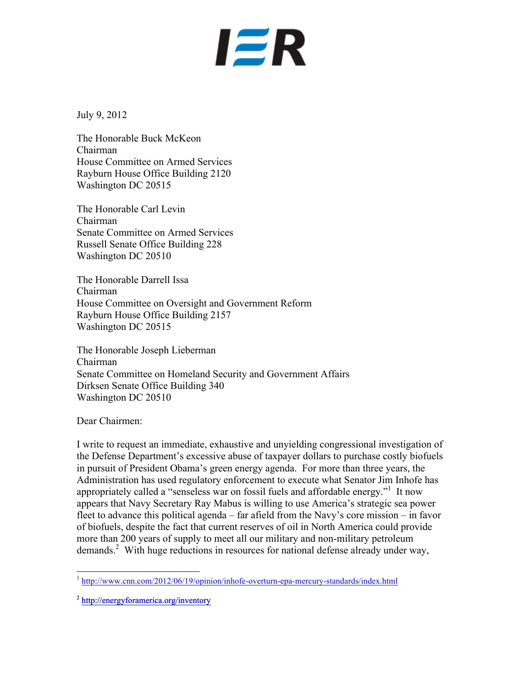## **IER**

July 9, 2012

The Honorable Buck McKeon Chairman House Committee on Armed Services Rayburn House Office Building 2120 Washington DC 20515

The Honorable Carl Levin Chairman Senate Committee on Armed Services Russell Senate Office Building 228 Washington DC 20510

The Honorable Darrell Issa Chairman House Committee on Oversight and Government Reform Rayburn House Office Building 2157 Washington DC 20515

The Honorable Joseph Lieberman Chairman Senate Committee on Homeland Security and Government Affairs Dirksen Senate Office Building 340 Washington DC 20510

Dear Chairmen:

I write to request an immediate, exhaustive and unyielding congressional investigation of the Defense Department's excessive abuse of taxpayer dollars to purchase costly biofuels in pursuit of President Obama's green energy agenda. For more than three years, the Administration has used regulatory enforcement to execute what Senator Jim Inhofe has appropriately called a "senseless war on fossil fuels and affordable energy."<sup>1</sup> It now appears that Navy Secretary Ray Mabus is willing to use America's strategic sea power fleet to advance this political agenda – far afield from the Navy's core mission – in favor of biofuels, despite the fact that current reserves of oil in North America could provide more than 200 years of supply to meet all our military and non-military petroleum demands.<sup>2</sup> With huge reductions in resources for national defense already under way,

 <sup>1</sup> http://www.cnn.com/2012/06/19/opinion/inhofe-overturn-epa-mercury-standards/index.html

<sup>2</sup> http://energyforamerica.org/inventory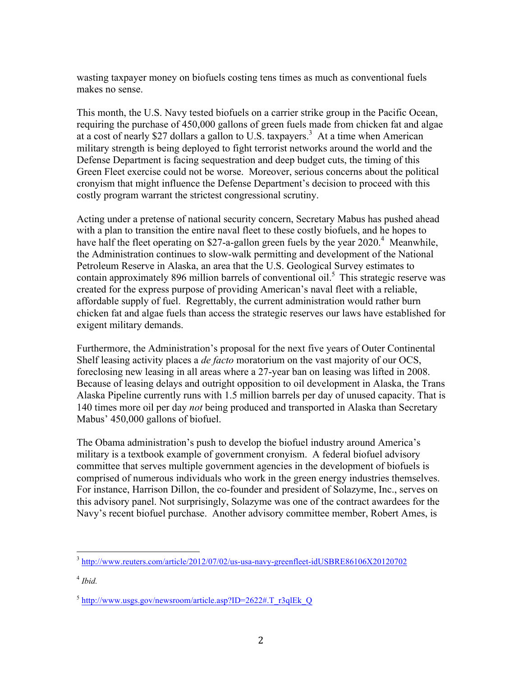wasting taxpayer money on biofuels costing tens times as much as conventional fuels makes no sense.

This month, the U.S. Navy tested biofuels on a carrier strike group in the Pacific Ocean, requiring the purchase of 450,000 gallons of green fuels made from chicken fat and algae at a cost of nearly \$27 dollars a gallon to U.S. taxpayers.3 At a time when American military strength is being deployed to fight terrorist networks around the world and the Defense Department is facing sequestration and deep budget cuts, the timing of this Green Fleet exercise could not be worse. Moreover, serious concerns about the political cronyism that might influence the Defense Department's decision to proceed with this costly program warrant the strictest congressional scrutiny.

Acting under a pretense of national security concern, Secretary Mabus has pushed ahead with a plan to transition the entire naval fleet to these costly biofuels, and he hopes to have half the fleet operating on \$27-a-gallon green fuels by the year  $2020<sup>4</sup>$  Meanwhile, the Administration continues to slow-walk permitting and development of the National Petroleum Reserve in Alaska, an area that the U.S. Geological Survey estimates to contain approximately 896 million barrels of conventional oil.<sup>5</sup> This strategic reserve was created for the express purpose of providing American's naval fleet with a reliable, affordable supply of fuel. Regrettably, the current administration would rather burn chicken fat and algae fuels than access the strategic reserves our laws have established for exigent military demands.

Furthermore, the Administration's proposal for the next five years of Outer Continental Shelf leasing activity places a *de facto* moratorium on the vast majority of our OCS, foreclosing new leasing in all areas where a 27-year ban on leasing was lifted in 2008. Because of leasing delays and outright opposition to oil development in Alaska, the Trans Alaska Pipeline currently runs with 1.5 million barrels per day of unused capacity. That is 140 times more oil per day *not* being produced and transported in Alaska than Secretary Mabus' 450,000 gallons of biofuel.

The Obama administration's push to develop the biofuel industry around America's military is a textbook example of government cronyism. A federal biofuel advisory committee that serves multiple government agencies in the development of biofuels is comprised of numerous individuals who work in the green energy industries themselves. For instance, Harrison Dillon, the co-founder and president of Solazyme, Inc., serves on this advisory panel. Not surprisingly, Solazyme was one of the contract awardees for the Navy's recent biofuel purchase. Another advisory committee member, Robert Ames, is

 <sup>3</sup> http://www.reuters.com/article/2012/07/02/us-usa-navy-greenfleet-idUSBRE86106X20120702

<sup>4</sup> *Ibid.*

 $5$  http://www.usgs.gov/newsroom/article.asp?ID=2622#.T\_r3qlEk\_Q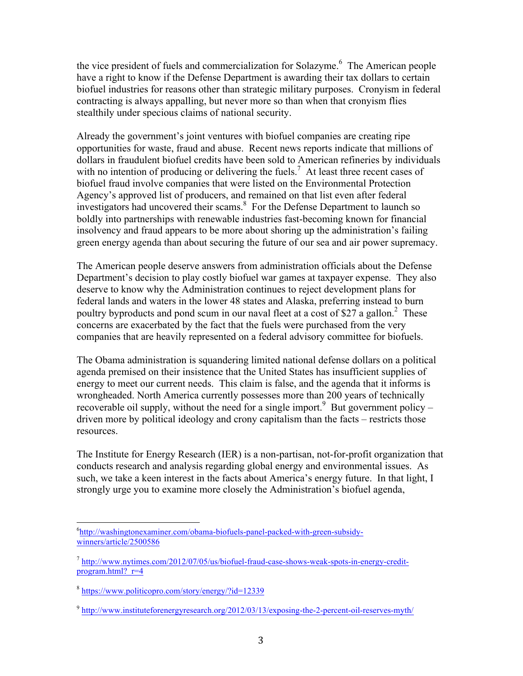the vice president of fuels and commercialization for Solazyme.<sup>6</sup> The American people have a right to know if the Defense Department is awarding their tax dollars to certain biofuel industries for reasons other than strategic military purposes. Cronyism in federal contracting is always appalling, but never more so than when that cronyism flies stealthily under specious claims of national security.

Already the government's joint ventures with biofuel companies are creating ripe opportunities for waste, fraud and abuse. Recent news reports indicate that millions of dollars in fraudulent biofuel credits have been sold to American refineries by individuals with no intention of producing or delivering the fuels.<sup>7</sup> At least three recent cases of biofuel fraud involve companies that were listed on the Environmental Protection Agency's approved list of producers, and remained on that list even after federal investigators had uncovered their scams.<sup>8</sup> For the Defense Department to launch so boldly into partnerships with renewable industries fast-becoming known for financial insolvency and fraud appears to be more about shoring up the administration's failing green energy agenda than about securing the future of our sea and air power supremacy.

The American people deserve answers from administration officials about the Defense Department's decision to play costly biofuel war games at taxpayer expense. They also deserve to know why the Administration continues to reject development plans for federal lands and waters in the lower 48 states and Alaska, preferring instead to burn poultry byproducts and pond scum in our naval fleet at a cost of \$27 a gallon.<sup>2</sup> These concerns are exacerbated by the fact that the fuels were purchased from the very companies that are heavily represented on a federal advisory committee for biofuels.

The Obama administration is squandering limited national defense dollars on a political agenda premised on their insistence that the United States has insufficient supplies of energy to meet our current needs. This claim is false, and the agenda that it informs is wrongheaded. North America currently possesses more than 200 years of technically recoverable oil supply, without the need for a single import.<sup>9</sup> But government policy – driven more by political ideology and crony capitalism than the facts – restricts those resources.

The Institute for Energy Research (IER) is a non-partisan, not-for-profit organization that conducts research and analysis regarding global energy and environmental issues. As such, we take a keen interest in the facts about America's energy future. In that light, I strongly urge you to examine more closely the Administration's biofuel agenda,

 <sup>6</sup> http://washingtonexaminer.com/obama-biofuels-panel-packed-with-green-subsidywinners/article/2500586

 $^7$  http://www.nytimes.com/2012/07/05/us/biofuel-fraud-case-shows-weak-spots-in-energy-creditprogram.html? $r=4$ 

<sup>8</sup> https://www.politicopro.com/story/energy/?id=12339

<sup>9</sup> http://www.instituteforenergyresearch.org/2012/03/13/exposing-the-2-percent-oil-reserves-myth/